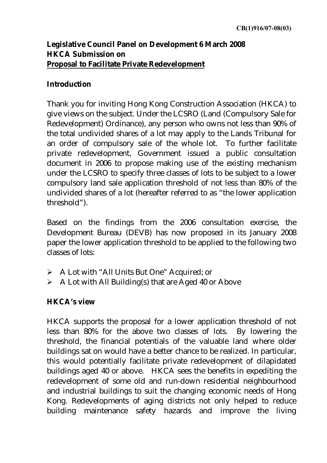## **Legislative Council Panel on Development 6 March 2008 HKCA Submission on**  <sup>U</sup>**Proposal to Facilitate Private Redevelopment**

## **Introduction**

Thank you for inviting Hong Kong Construction Association (HKCA) to give views on the subject. Under the LCSRO (Land (Compulsory Sale for Redevelopment) Ordinance), any person who owns not less than 90% of the total undivided shares of a lot may apply to the Lands Tribunal for an order of compulsory sale of the whole lot. To further facilitate private redevelopment, Government issued a public consultation document in 2006 to propose making use of the existing mechanism under the LCSRO to specify three classes of lots to be subject to a lower compulsory land sale application threshold of not less than 80% of the undivided shares of a lot (hereafter referred to as "the lower application threshold").

Based on the findings from the 2006 consultation exercise, the Development Bureau (DEVB) has now proposed in its January 2008 paper the lower application threshold to be applied to the following two classes of lots:

- ¾ A Lot with "All Units But One" Acquired; or
- $\triangleright$  A Lot with All Building(s) that are Aged 40 or Above

## **HKCA's view**

HKCA supports the proposal for a lower application threshold of not less than 80% for the above two classes of lots. By lowering the threshold, the financial potentials of the valuable land where older buildings sat on would have a better chance to be realized. In particular, this would potentially facilitate private redevelopment of dilapidated buildings aged 40 or above. HKCA sees the benefits in expediting the redevelopment of some old and run-down residential neighbourhood and industrial buildings to suit the changing economic needs of Hong Kong. Redevelopments of aging districts not only helped to reduce building maintenance safety hazards and improve the living